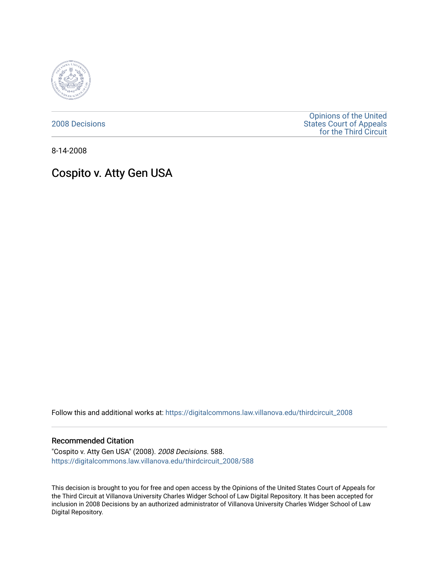

[2008 Decisions](https://digitalcommons.law.villanova.edu/thirdcircuit_2008)

[Opinions of the United](https://digitalcommons.law.villanova.edu/thirdcircuit)  [States Court of Appeals](https://digitalcommons.law.villanova.edu/thirdcircuit)  [for the Third Circuit](https://digitalcommons.law.villanova.edu/thirdcircuit) 

8-14-2008

# Cospito v. Atty Gen USA

Follow this and additional works at: [https://digitalcommons.law.villanova.edu/thirdcircuit\\_2008](https://digitalcommons.law.villanova.edu/thirdcircuit_2008?utm_source=digitalcommons.law.villanova.edu%2Fthirdcircuit_2008%2F588&utm_medium=PDF&utm_campaign=PDFCoverPages) 

## Recommended Citation

"Cospito v. Atty Gen USA" (2008). 2008 Decisions. 588. [https://digitalcommons.law.villanova.edu/thirdcircuit\\_2008/588](https://digitalcommons.law.villanova.edu/thirdcircuit_2008/588?utm_source=digitalcommons.law.villanova.edu%2Fthirdcircuit_2008%2F588&utm_medium=PDF&utm_campaign=PDFCoverPages)

This decision is brought to you for free and open access by the Opinions of the United States Court of Appeals for the Third Circuit at Villanova University Charles Widger School of Law Digital Repository. It has been accepted for inclusion in 2008 Decisions by an authorized administrator of Villanova University Charles Widger School of Law Digital Repository.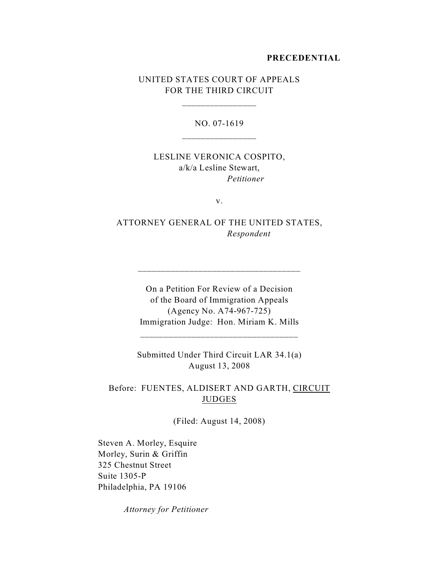#### **PRECEDENTIAL**

# UNITED STATES COURT OF APPEALS FOR THE THIRD CIRCUIT

\_\_\_\_\_\_\_\_\_\_\_\_\_\_\_\_

NO. 07-1619

# LESLINE VERONICA COSPITO, a/k/a Lesline Stewart, *Petitioner*

v.

ATTORNEY GENERAL OF THE UNITED STATES, *Respondent*

\_\_\_\_\_\_\_\_\_\_\_\_\_\_\_\_\_\_\_\_\_\_\_\_\_\_\_\_\_\_\_\_\_\_\_

On a Petition For Review of a Decision of the Board of Immigration Appeals (Agency No. A74-967-725) Immigration Judge: Hon. Miriam K. Mills

Submitted Under Third Circuit LAR 34.1(a) August 13, 2008

\_\_\_\_\_\_\_\_\_\_\_\_\_\_\_\_\_\_\_\_\_\_\_\_\_\_\_\_\_\_\_\_\_\_

Before: FUENTES, ALDISERT AND GARTH, CIRCUIT JUDGES

(Filed: August 14, 2008)

Steven A. Morley, Esquire Morley, Surin & Griffin 325 Chestnut Street Suite 1305-P Philadelphia, PA 19106

*Attorney for Petitioner*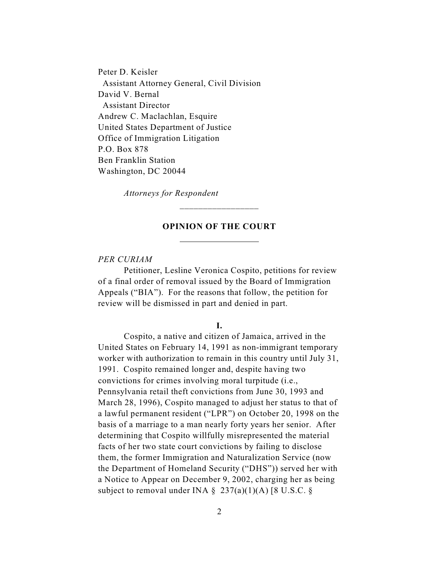Peter D. Keisler Assistant Attorney General, Civil Division David V. Bernal Assistant Director Andrew C. Maclachlan, Esquire United States Department of Justice Office of Immigration Litigation P.O. Box 878 Ben Franklin Station Washington, DC 20044

*Attorneys for Respondent*

l

## **OPINION OF THE COURT**

\_\_\_\_\_\_\_\_\_\_\_\_\_\_\_\_\_

### *PER CURIAM*

Petitioner, Lesline Veronica Cospito, petitions for review of a final order of removal issued by the Board of Immigration Appeals ("BIA"). For the reasons that follow, the petition for review will be dismissed in part and denied in part.

#### **I.**

Cospito, a native and citizen of Jamaica, arrived in the United States on February 14, 1991 as non-immigrant temporary worker with authorization to remain in this country until July 31, 1991. Cospito remained longer and, despite having two convictions for crimes involving moral turpitude (i.e., Pennsylvania retail theft convictions from June 30, 1993 and March 28, 1996), Cospito managed to adjust her status to that of a lawful permanent resident ("LPR") on October 20, 1998 on the basis of a marriage to a man nearly forty years her senior. After determining that Cospito willfully misrepresented the material facts of her two state court convictions by failing to disclose them, the former Immigration and Naturalization Service (now the Department of Homeland Security ("DHS")) served her with a Notice to Appear on December 9, 2002, charging her as being subject to removal under INA  $\S$  237(a)(1)(A) [8 U.S.C.  $\S$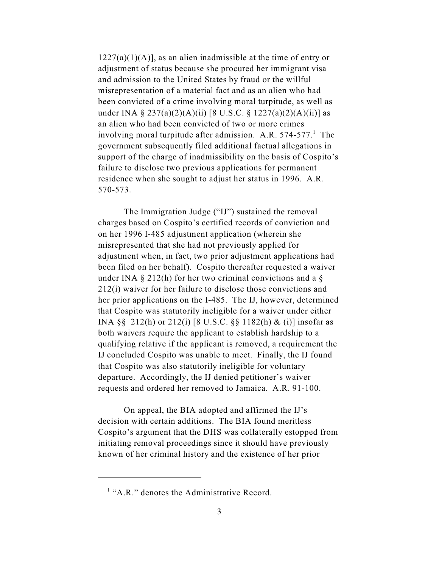$1227(a)(1)(A)$ , as an alien inadmissible at the time of entry or adjustment of status because she procured her immigrant visa and admission to the United States by fraud or the willful misrepresentation of a material fact and as an alien who had been convicted of a crime involving moral turpitude, as well as under INA § 237(a)(2)(A)(ii) [8 U.S.C. § 1227(a)(2)(A)(ii)] as an alien who had been convicted of two or more crimes involving moral turpitude after admission. A.R.  $574-577$ . The government subsequently filed additional factual allegations in support of the charge of inadmissibility on the basis of Cospito's failure to disclose two previous applications for permanent residence when she sought to adjust her status in 1996. A.R. 570-573.

The Immigration Judge ("IJ") sustained the removal charges based on Cospito's certified records of conviction and on her 1996 I-485 adjustment application (wherein she misrepresented that she had not previously applied for adjustment when, in fact, two prior adjustment applications had been filed on her behalf). Cospito thereafter requested a waiver under INA  $\S$  212(h) for her two criminal convictions and a  $\S$ 212(i) waiver for her failure to disclose those convictions and her prior applications on the I-485. The IJ, however, determined that Cospito was statutorily ineligible for a waiver under either INA §§ 212(h) or 212(i) [8 U.S.C. §§ 1182(h) & (i)] insofar as both waivers require the applicant to establish hardship to a qualifying relative if the applicant is removed, a requirement the IJ concluded Cospito was unable to meet. Finally, the IJ found that Cospito was also statutorily ineligible for voluntary departure. Accordingly, the IJ denied petitioner's waiver requests and ordered her removed to Jamaica. A.R. 91-100.

On appeal, the BIA adopted and affirmed the IJ's decision with certain additions. The BIA found meritless Cospito's argument that the DHS was collaterally estopped from initiating removal proceedings since it should have previously known of her criminal history and the existence of her prior

 $<sup>1</sup>$  "A.R." denotes the Administrative Record.</sup>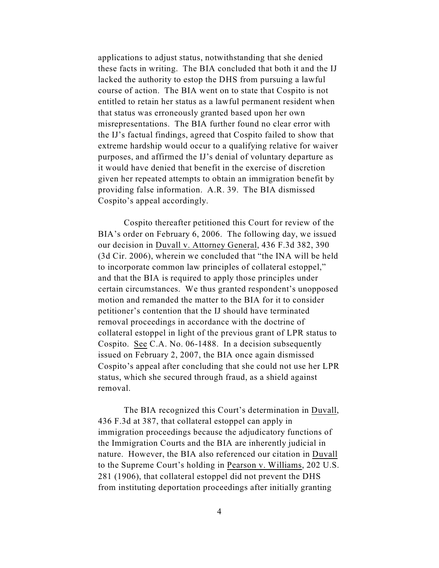applications to adjust status, notwithstanding that she denied these facts in writing. The BIA concluded that both it and the IJ lacked the authority to estop the DHS from pursuing a lawful course of action. The BIA went on to state that Cospito is not entitled to retain her status as a lawful permanent resident when that status was erroneously granted based upon her own misrepresentations. The BIA further found no clear error with the IJ's factual findings, agreed that Cospito failed to show that extreme hardship would occur to a qualifying relative for waiver purposes, and affirmed the IJ's denial of voluntary departure as it would have denied that benefit in the exercise of discretion given her repeated attempts to obtain an immigration benefit by providing false information. A.R. 39. The BIA dismissed Cospito's appeal accordingly.

Cospito thereafter petitioned this Court for review of the BIA's order on February 6, 2006. The following day, we issued our decision in Duvall v. Attorney General, 436 F.3d 382, 390 (3d Cir. 2006), wherein we concluded that "the INA will be held to incorporate common law principles of collateral estoppel," and that the BIA is required to apply those principles under certain circumstances. We thus granted respondent's unopposed motion and remanded the matter to the BIA for it to consider petitioner's contention that the IJ should have terminated removal proceedings in accordance with the doctrine of collateral estoppel in light of the previous grant of LPR status to Cospito. See C.A. No. 06-1488. In a decision subsequently issued on February 2, 2007, the BIA once again dismissed Cospito's appeal after concluding that she could not use her LPR status, which she secured through fraud, as a shield against removal.

The BIA recognized this Court's determination in Duvall, 436 F.3d at 387, that collateral estoppel can apply in immigration proceedings because the adjudicatory functions of the Immigration Courts and the BIA are inherently judicial in nature. However, the BIA also referenced our citation in Duvall to the Supreme Court's holding in Pearson v. Williams, 202 U.S. 281 (1906), that collateral estoppel did not prevent the DHS from instituting deportation proceedings after initially granting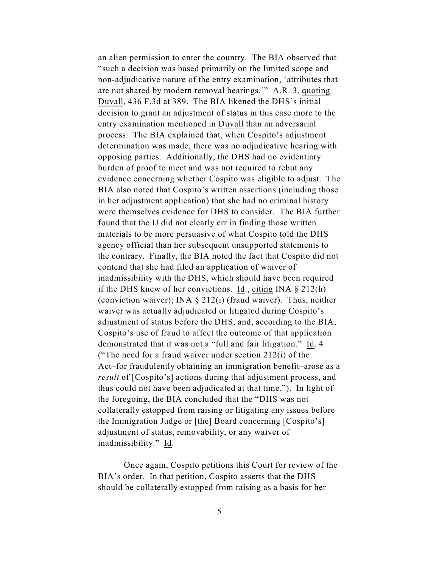an alien permission to enter the country. The BIA observed that "such a decision was based primarily on the limited scope and non-adjudicative nature of the entry examination, 'attributes that are not shared by modern removal hearings.'" A.R. 3, quoting Duvall, 436 F.3d at 389. The BIA likened the DHS's initial decision to grant an adjustment of status in this case more to the entry examination mentioned in Duvall than an adversarial process. The BIA explained that, when Cospito's adjustment determination was made, there was no adjudicative hearing with opposing parties. Additionally, the DHS had no evidentiary burden of proof to meet and was not required to rebut any evidence concerning whether Cospito was eligible to adjust. The BIA also noted that Cospito's written assertions (including those in her adjustment application) that she had no criminal history were themselves evidence for DHS to consider. The BIA further found that the IJ did not clearly err in finding those written materials to be more persuasive of what Cospito told the DHS agency official than her subsequent unsupported statements to the contrary. Finally, the BIA noted the fact that Cospito did not contend that she had filed an application of waiver of inadmissibility with the DHS, which should have been required if the DHS knew of her convictions. Id., citing INA  $\S$  212(h) (conviction waiver); INA  $\S$  212(i) (fraud waiver). Thus, neither waiver was actually adjudicated or litigated during Cospito's adjustment of status before the DHS, and, according to the BIA, Cospito's use of fraud to affect the outcome of that application demonstrated that it was not a "full and fair litigation." Id. 4 ("The need for a fraud waiver under section 212(i) of the Act–for fraudulently obtaining an immigration benefit–arose as a *result* of [Cospito's] actions during that adjustment process, and thus could not have been adjudicated at that time."). In light of the foregoing, the BIA concluded that the "DHS was not collaterally estopped from raising or litigating any issues before the Immigration Judge or [the] Board concerning [Cospito's] adjustment of status, removability, or any waiver of inadmissibility." Id.

Once again, Cospito petitions this Court for review of the BIA's order. In that petition, Cospito asserts that the DHS should be collaterally estopped from raising as a basis for her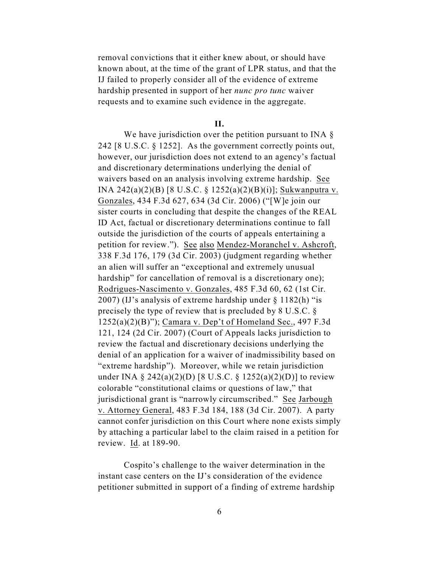removal convictions that it either knew about, or should have known about, at the time of the grant of LPR status, and that the IJ failed to properly consider all of the evidence of extreme hardship presented in support of her *nunc pro tunc* waiver requests and to examine such evidence in the aggregate.

**II.**

We have jurisdiction over the petition pursuant to INA  $\S$ 242 [8 U.S.C. § 1252]. As the government correctly points out, however, our jurisdiction does not extend to an agency's factual and discretionary determinations underlying the denial of waivers based on an analysis involving extreme hardship. See INA 242(a)(2)(B) [8 U.S.C. § 1252(a)(2)(B)(i)]; Sukwanputra v. Gonzales, 434 F.3d 627, 634 (3d Cir. 2006) ("[W]e join our sister courts in concluding that despite the changes of the REAL ID Act, factual or discretionary determinations continue to fall outside the jurisdiction of the courts of appeals entertaining a petition for review."). See also Mendez-Moranchel v. Ashcroft, 338 F.3d 176, 179 (3d Cir. 2003) (judgment regarding whether an alien will suffer an "exceptional and extremely unusual hardship" for cancellation of removal is a discretionary one); Rodrigues-Nascimento v. Gonzales, 485 F.3d 60, 62 (1st Cir. 2007) (IJ's analysis of extreme hardship under § 1182(h) "is precisely the type of review that is precluded by 8 U.S.C. § 1252(a)(2)(B)"); Camara v. Dep't of Homeland Sec., 497 F.3d 121, 124 (2d Cir. 2007) (Court of Appeals lacks jurisdiction to review the factual and discretionary decisions underlying the denial of an application for a waiver of inadmissibility based on "extreme hardship"). Moreover, while we retain jurisdiction under INA § 242(a)(2)(D) [8 U.S.C. § 1252(a)(2)(D)] to review colorable "constitutional claims or questions of law," that jurisdictional grant is "narrowly circumscribed." See Jarbough v. Attorney General, 483 F.3d 184, 188 (3d Cir. 2007). A party cannot confer jurisdiction on this Court where none exists simply by attaching a particular label to the claim raised in a petition for review. Id. at 189-90.

Cospito's challenge to the waiver determination in the instant case centers on the IJ's consideration of the evidence petitioner submitted in support of a finding of extreme hardship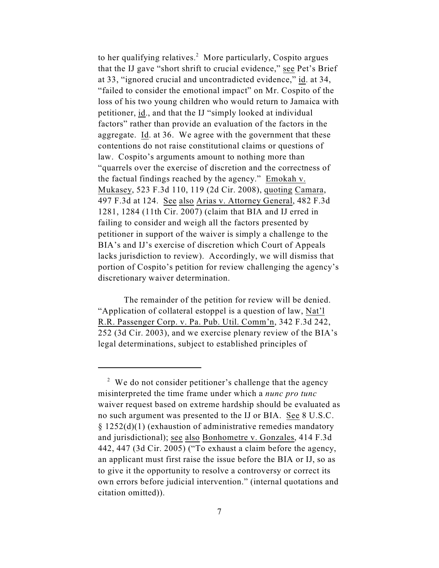to her qualifying relatives.<sup>2</sup> More particularly, Cospito argues that the IJ gave "short shrift to crucial evidence," see Pet's Brief at 33, "ignored crucial and uncontradicted evidence," id. at 34, "failed to consider the emotional impact" on Mr. Cospito of the loss of his two young children who would return to Jamaica with petitioner, id., and that the IJ "simply looked at individual factors" rather than provide an evaluation of the factors in the aggregate. Id. at 36. We agree with the government that these contentions do not raise constitutional claims or questions of law. Cospito's arguments amount to nothing more than "quarrels over the exercise of discretion and the correctness of the factual findings reached by the agency." Emokah v. Mukasey, 523 F.3d 110, 119 (2d Cir. 2008), quoting Camara, 497 F.3d at 124. See also Arias v. Attorney General, 482 F.3d 1281, 1284 (11th Cir. 2007) (claim that BIA and IJ erred in failing to consider and weigh all the factors presented by petitioner in support of the waiver is simply a challenge to the BIA's and IJ's exercise of discretion which Court of Appeals lacks jurisdiction to review). Accordingly, we will dismiss that portion of Cospito's petition for review challenging the agency's discretionary waiver determination.

The remainder of the petition for review will be denied. "Application of collateral estoppel is a question of law, Nat'l R.R. Passenger Corp. v. Pa. Pub. Util. Comm'n, 342 F.3d 242, 252 (3d Cir. 2003), and we exercise plenary review of the BIA's legal determinations, subject to established principles of

 $2$  We do not consider petitioner's challenge that the agency misinterpreted the time frame under which a *nunc pro tunc* waiver request based on extreme hardship should be evaluated as no such argument was presented to the IJ or BIA. See 8 U.S.C. § 1252(d)(1) (exhaustion of administrative remedies mandatory and jurisdictional); see also Bonhometre v. Gonzales, 414 F.3d 442, 447 (3d Cir. 2005) ("To exhaust a claim before the agency, an applicant must first raise the issue before the BIA or IJ, so as to give it the opportunity to resolve a controversy or correct its own errors before judicial intervention." (internal quotations and citation omitted)).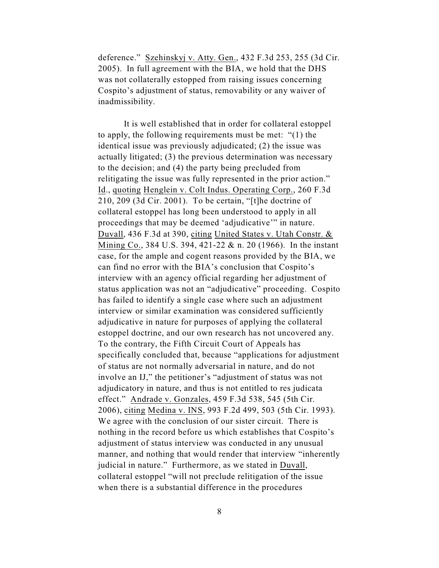deference." Szehinskyj v. Atty. Gen., 432 F.3d 253, 255 (3d Cir. 2005). In full agreement with the BIA, we hold that the DHS was not collaterally estopped from raising issues concerning Cospito's adjustment of status, removability or any waiver of inadmissibility.

It is well established that in order for collateral estoppel to apply, the following requirements must be met: "(1) the identical issue was previously adjudicated; (2) the issue was actually litigated; (3) the previous determination was necessary to the decision; and (4) the party being precluded from relitigating the issue was fully represented in the prior action." Id., quoting Henglein v. Colt Indus. Operating Corp., 260 F.3d 210, 209 (3d Cir. 2001). To be certain, "[t]he doctrine of collateral estoppel has long been understood to apply in all proceedings that may be deemed 'adjudicative'" in nature. Duvall, 436 F.3d at 390, citing United States v. Utah Constr. & Mining Co., 384 U.S. 394, 421-22 & n. 20 (1966). In the instant case, for the ample and cogent reasons provided by the BIA, we can find no error with the BIA's conclusion that Cospito's interview with an agency official regarding her adjustment of status application was not an "adjudicative" proceeding. Cospito has failed to identify a single case where such an adjustment interview or similar examination was considered sufficiently adjudicative in nature for purposes of applying the collateral estoppel doctrine, and our own research has not uncovered any. To the contrary, the Fifth Circuit Court of Appeals has specifically concluded that, because "applications for adjustment of status are not normally adversarial in nature, and do not involve an IJ," the petitioner's "adjustment of status was not adjudicatory in nature, and thus is not entitled to res judicata effect." Andrade v. Gonzales, 459 F.3d 538, 545 (5th Cir. 2006), citing Medina v. INS, 993 F.2d 499, 503 (5th Cir. 1993). We agree with the conclusion of our sister circuit. There is nothing in the record before us which establishes that Cospito's adjustment of status interview was conducted in any unusual manner, and nothing that would render that interview "inherently judicial in nature." Furthermore, as we stated in Duvall, collateral estoppel "will not preclude relitigation of the issue when there is a substantial difference in the procedures